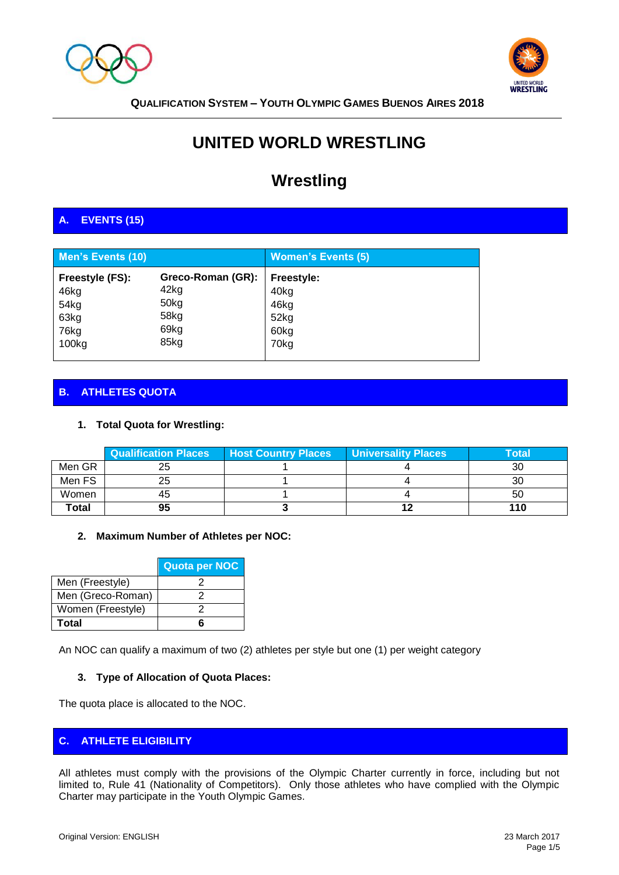



# **UNITED WORLD WRESTLING**

# **Wrestling**

# **A. EVENTS (15)**

| <b>Men's Events (10)</b> |                   | <b>Women's Events (5)</b> |
|--------------------------|-------------------|---------------------------|
| Freestyle (FS):          | Greco-Roman (GR): | <b>Freestyle:</b>         |
| 46kg                     | 42kg              | 40kg                      |
| 54 <sub>kg</sub>         | 50kg              | 46kg                      |
| 63kg                     | 58kg              | 52kg                      |
| 76kg                     | 69kg              | 60kg                      |
| 100 <sub>kg</sub>        | 85kg              | 70kg                      |

# **B. ATHLETES QUOTA**

## **1. Total Quota for Wrestling:**

|        | <b>Qualification Places</b> | Host Country Places | <b>Universality Places</b> | Total |
|--------|-----------------------------|---------------------|----------------------------|-------|
| Men GR |                             |                     |                            | 30    |
| Men FS | 25                          |                     |                            | 30    |
| Women  | 45                          |                     |                            | 50    |
| Total  | 95                          |                     |                            | 110   |

#### **2. Maximum Number of Athletes per NOC:**

|                   | Quota per NOC |
|-------------------|---------------|
| Men (Freestyle)   |               |
| Men (Greco-Roman) |               |
| Women (Freestyle) |               |
| Total             |               |

An NOC can qualify a maximum of two (2) athletes per style but one (1) per weight category

#### **3. Type of Allocation of Quota Places:**

The quota place is allocated to the NOC.

#### **C. ATHLETE ELIGIBILITY**

All athletes must comply with the provisions of the Olympic Charter currently in force, including but not limited to, Rule 41 (Nationality of Competitors). Only those athletes who have complied with the Olympic Charter may participate in the Youth Olympic Games.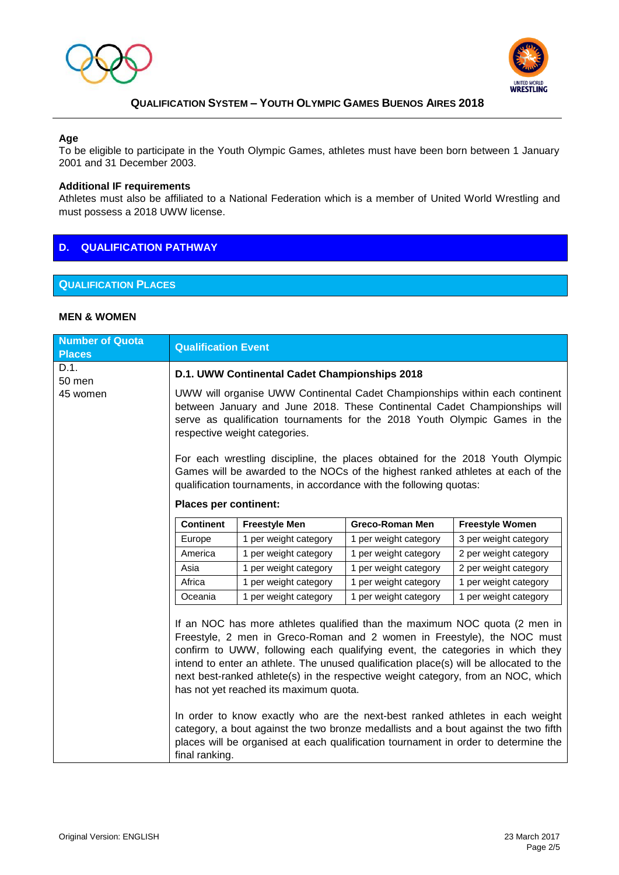



#### **Age**

To be eligible to participate in the Youth Olympic Games, athletes must have been born between 1 January 2001 and 31 December 2003.

#### **Additional IF requirements**

Athletes must also be affiliated to a National Federation which is a member of United World Wrestling and must possess a 2018 UWW license.

## **D. QUALIFICATION PATHWAY**

## **QUALIFICATION PLACES**

#### **MEN & WOMEN**

| <b>Qualification Event</b>                                                                                                                                                                                                                                                                                                                                                                                                                                                                                                                                                                                                                                                                                                     |                       |                       |                        |
|--------------------------------------------------------------------------------------------------------------------------------------------------------------------------------------------------------------------------------------------------------------------------------------------------------------------------------------------------------------------------------------------------------------------------------------------------------------------------------------------------------------------------------------------------------------------------------------------------------------------------------------------------------------------------------------------------------------------------------|-----------------------|-----------------------|------------------------|
| D.1. UWW Continental Cadet Championships 2018                                                                                                                                                                                                                                                                                                                                                                                                                                                                                                                                                                                                                                                                                  |                       |                       |                        |
| UWW will organise UWW Continental Cadet Championships within each continent<br>between January and June 2018. These Continental Cadet Championships will<br>serve as qualification tournaments for the 2018 Youth Olympic Games in the<br>respective weight categories.                                                                                                                                                                                                                                                                                                                                                                                                                                                        |                       |                       |                        |
| For each wrestling discipline, the places obtained for the 2018 Youth Olympic<br>Games will be awarded to the NOCs of the highest ranked athletes at each of the<br>qualification tournaments, in accordance with the following quotas:                                                                                                                                                                                                                                                                                                                                                                                                                                                                                        |                       |                       |                        |
| <b>Places per continent:</b>                                                                                                                                                                                                                                                                                                                                                                                                                                                                                                                                                                                                                                                                                                   |                       |                       |                        |
| <b>Continent</b>                                                                                                                                                                                                                                                                                                                                                                                                                                                                                                                                                                                                                                                                                                               | <b>Freestyle Men</b>  | Greco-Roman Men       | <b>Freestyle Women</b> |
| Europe                                                                                                                                                                                                                                                                                                                                                                                                                                                                                                                                                                                                                                                                                                                         | 1 per weight category | 1 per weight category | 3 per weight category  |
| America                                                                                                                                                                                                                                                                                                                                                                                                                                                                                                                                                                                                                                                                                                                        | 1 per weight category | 1 per weight category | 2 per weight category  |
| Asia                                                                                                                                                                                                                                                                                                                                                                                                                                                                                                                                                                                                                                                                                                                           | 1 per weight category | 1 per weight category | 2 per weight category  |
| Africa                                                                                                                                                                                                                                                                                                                                                                                                                                                                                                                                                                                                                                                                                                                         | 1 per weight category | 1 per weight category | 1 per weight category  |
| Oceania                                                                                                                                                                                                                                                                                                                                                                                                                                                                                                                                                                                                                                                                                                                        | 1 per weight category | 1 per weight category | 1 per weight category  |
| If an NOC has more athletes qualified than the maximum NOC quota (2 men in<br>Freestyle, 2 men in Greco-Roman and 2 women in Freestyle), the NOC must<br>confirm to UWW, following each qualifying event, the categories in which they<br>intend to enter an athlete. The unused qualification place(s) will be allocated to the<br>next best-ranked athlete(s) in the respective weight category, from an NOC, which<br>has not yet reached its maximum quota.<br>In order to know exactly who are the next-best ranked athletes in each weight<br>category, a bout against the two bronze medallists and a bout against the two fifth<br>places will be organised at each qualification tournament in order to determine the |                       |                       |                        |
|                                                                                                                                                                                                                                                                                                                                                                                                                                                                                                                                                                                                                                                                                                                                | final ranking.        |                       |                        |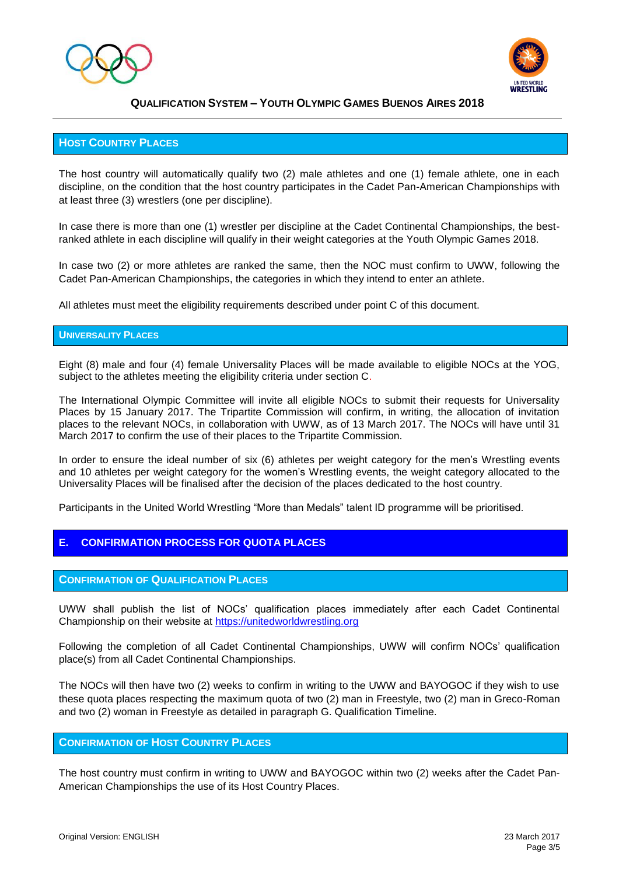



#### **HOST COUNTRY PLACES**

The host country will automatically qualify two (2) male athletes and one (1) female athlete, one in each discipline, on the condition that the host country participates in the Cadet Pan-American Championships with at least three (3) wrestlers (one per discipline).

In case there is more than one (1) wrestler per discipline at the Cadet Continental Championships, the bestranked athlete in each discipline will qualify in their weight categories at the Youth Olympic Games 2018.

In case two (2) or more athletes are ranked the same, then the NOC must confirm to UWW, following the Cadet Pan-American Championships, the categories in which they intend to enter an athlete.

All athletes must meet the eligibility requirements described under point C of this document.

#### **UNIVERSALITY PLACES**

Eight (8) male and four (4) female Universality Places will be made available to eligible NOCs at the YOG, subject to the athletes meeting the eligibility criteria under section C.

The International Olympic Committee will invite all eligible NOCs to submit their requests for Universality Places by 15 January 2017. The Tripartite Commission will confirm, in writing, the allocation of invitation places to the relevant NOCs, in collaboration with UWW, as of 13 March 2017. The NOCs will have until 31 March 2017 to confirm the use of their places to the Tripartite Commission.

In order to ensure the ideal number of six (6) athletes per weight category for the men's Wrestling events and 10 athletes per weight category for the women's Wrestling events, the weight category allocated to the Universality Places will be finalised after the decision of the places dedicated to the host country.

Participants in the United World Wrestling "More than Medals" talent ID programme will be prioritised.

#### **E. CONFIRMATION PROCESS FOR QUOTA PLACES**

#### **CONFIRMATION OF QUALIFICATION PLACES**

UWW shall publish the list of NOCs' qualification places immediately after each Cadet Continental Championship on their website at [https://unitedworldwrestling.org](https://unitedworldwrestling.org/)

Following the completion of all Cadet Continental Championships, UWW will confirm NOCs' qualification place(s) from all Cadet Continental Championships.

The NOCs will then have two (2) weeks to confirm in writing to the UWW and BAYOGOC if they wish to use these quota places respecting the maximum quota of two (2) man in Freestyle, two (2) man in Greco-Roman and two (2) woman in Freestyle as detailed in paragraph G. Qualification Timeline.

#### **CONFIRMATION OF HOST COUNTRY PLACES**

The host country must confirm in writing to UWW and BAYOGOC within two (2) weeks after the Cadet Pan-American Championships the use of its Host Country Places.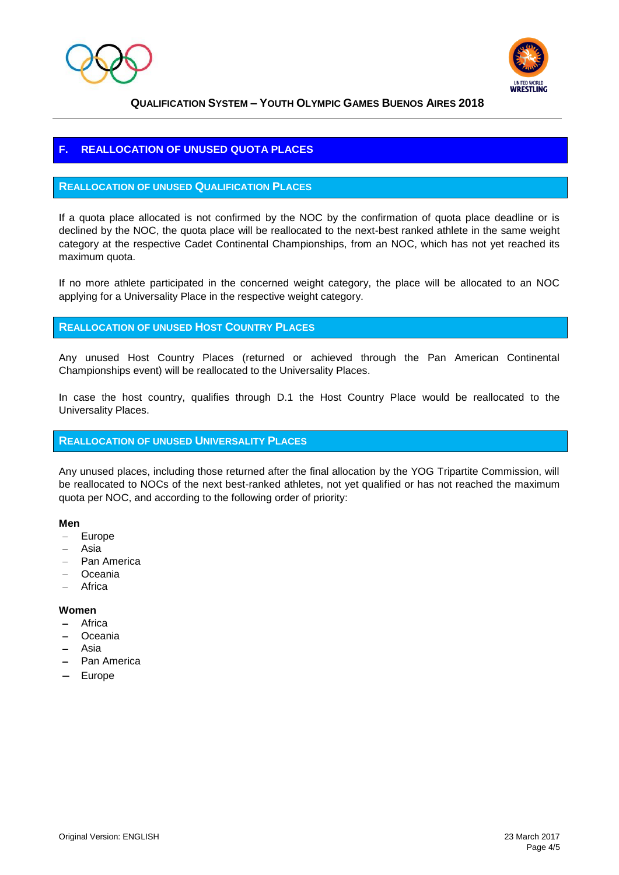



# **F. REALLOCATION OF UNUSED QUOTA PLACES**

#### **REALLOCATION OF UNUSED QUALIFICATION PLACES**

If a quota place allocated is not confirmed by the NOC by the confirmation of quota place deadline or is declined by the NOC, the quota place will be reallocated to the next-best ranked athlete in the same weight category at the respective Cadet Continental Championships, from an NOC, which has not yet reached its maximum quota.

If no more athlete participated in the concerned weight category, the place will be allocated to an NOC applying for a Universality Place in the respective weight category.

## **REALLOCATION OF UNUSED HOST COUNTRY PLACES**

Any unused Host Country Places (returned or achieved through the Pan American Continental Championships event) will be reallocated to the Universality Places.

In case the host country, qualifies through D.1 the Host Country Place would be reallocated to the Universality Places.

#### **REALLOCATION OF UNUSED UNIVERSALITY PLACES**

Any unused places, including those returned after the final allocation by the YOG Tripartite Commission, will be reallocated to NOCs of the next best-ranked athletes, not yet qualified or has not reached the maximum quota per NOC, and according to the following order of priority:

#### **Men**

- Europe
- Asia
- Pan America
- Oceania
- Africa

#### **Women**

- Africa
- Oceania
- Asia
- Pan America
- Europe